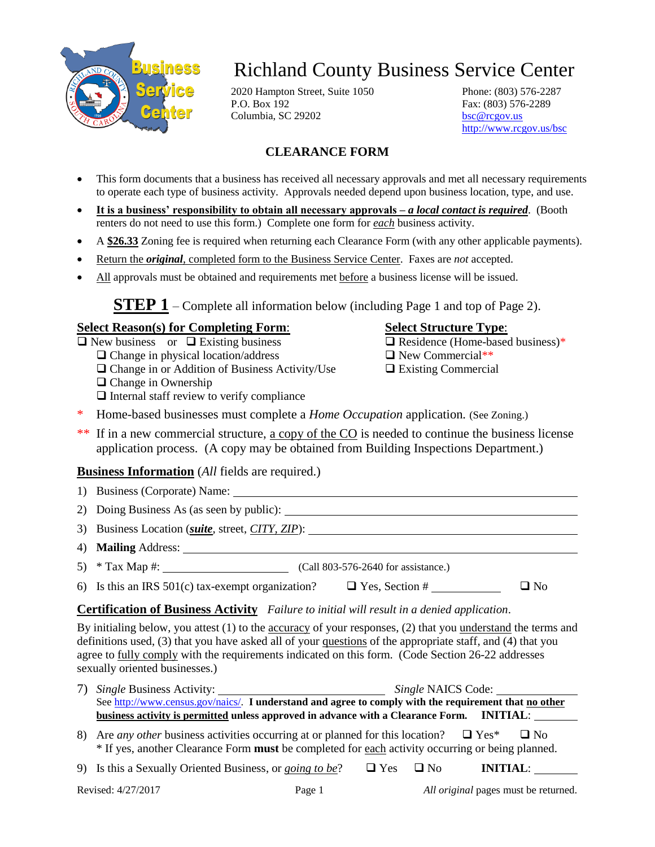

# Richland County Business Service Center

2020 Hampton Street, Suite 1050 Phone: (803) 576-2287 P.O. Box 192 Fax: (803) 576-2289 Columbia, SC 29202 [bsc@rcgov.us](mailto:BSC@rcgov.us)

<http://www.rcgov.us/bsc>

### **CLEARANCE FORM**

- This form documents that a business has received all necessary approvals and met all necessary requirements to operate each type of business activity. Approvals needed depend upon business location, type, and use.
- **It is a business' responsibility to obtain all necessary approvals –** *a local contact is required*. (Booth renters do not need to use this form.) Complete one form for *each* business activity.
- A **\$26.33** Zoning fee is required when returning each Clearance Form (with any other applicable payments).
- Return the *original*, completed form to the Business Service Center. Faxes are *not* accepted.
- All approvals must be obtained and requirements met before a business license will be issued.

**STEP 1** – Complete all information below (including Page 1 and top of Page 2).

#### **Select Reason(s) for Completing Form**: **Select Structure Type**:

 $\Box$  New business or  $\Box$  Existing business  $\Box$  Residence (Home-based business)\*

 $\Box$  Change in physical location/address  $\Box$  New Commercial\*\*

 $\Box$  Change in or Addition of Business Activity/Use  $\Box$  Existing Commercial

- $\Box$  Change in Ownership
- $\Box$  Internal staff review to verify compliance

- 
- 
- \* Home-based businesses must complete a *Home Occupation* application*.* (See Zoning.)
- \*\* If in a new commercial structure, a copy of the CO is needed to continue the business license application process. (A copy may be obtained from Building Inspections Department.)

#### **Business Information** (*All* fields are required.)

- 1) Business (Corporate) Name:
- 2) Doing Business As (as seen by public):
- 3) Business Location (*suite*, street, *CITY, ZIP*):
- 4) **Mailing** Address:
- 5) \* Tax Map #: (Call 803-576-2640 for assistance.)
- 6) Is this an IRS 501(c) tax-exempt organization?  $\Box$  Yes, Section #  $\Box$  No

#### **Certification of Business Activity** *Failure to initial will result in a denied application*.

By initialing below, you attest (1) to the accuracy of your responses, (2) that you understand the terms and definitions used, (3) that you have asked all of your questions of the appropriate staff, and (4) that you agree to fully comply with the requirements indicated on this form. (Code Section 26-22 addresses sexually oriented businesses.)

| <i>Single</i> Business Activity:                                                                                                                                                                                    | <i>Single</i> NAICS Code:                                                                             |  |  |  |
|---------------------------------------------------------------------------------------------------------------------------------------------------------------------------------------------------------------------|-------------------------------------------------------------------------------------------------------|--|--|--|
|                                                                                                                                                                                                                     | See http://www.census.gov/naics/. I understand and agree to comply with the requirement that no other |  |  |  |
| business activity is permitted unless approved in advance with a Clearance Form. INITIAL:                                                                                                                           |                                                                                                       |  |  |  |
| 8) Are <i>any other</i> business activities occurring at or planned for this location? $\Box$ Yes*<br>$\Box$ No<br>* If yes, another Clearance Form must be completed for each activity occurring or being planned. |                                                                                                       |  |  |  |

9) Is this a Sexually Oriented Business, or *going to be*?  $\Box$  Yes  $\Box$  No **INITIAL**: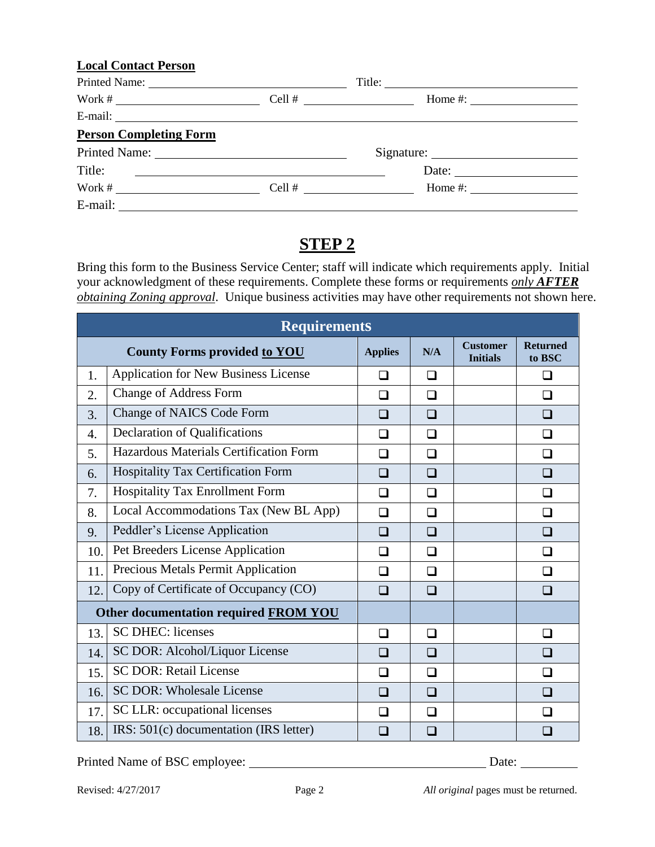#### **Local Contact Person**

|                                                                                                                                                                                                                                                                                                                       | Cell # $\qquad$<br>Home #: $\frac{1}{2}$ = $\frac{1}{2}$ = $\frac{1}{2}$ = $\frac{1}{2}$ = $\frac{1}{2}$ = $\frac{1}{2}$ = $\frac{1}{2}$ = $\frac{1}{2}$ = $\frac{1}{2}$ = $\frac{1}{2}$ = $\frac{1}{2}$ = $\frac{1}{2}$ = $\frac{1}{2}$ = $\frac{1}{2}$ = $\frac{1}{2}$ = $\frac{1}{2}$ = $\frac{1}{2}$ = $\frac{1}{2}$ |  |
|-----------------------------------------------------------------------------------------------------------------------------------------------------------------------------------------------------------------------------------------------------------------------------------------------------------------------|--------------------------------------------------------------------------------------------------------------------------------------------------------------------------------------------------------------------------------------------------------------------------------------------------------------------------|--|
| E-mail: $\qquad \qquad$                                                                                                                                                                                                                                                                                               |                                                                                                                                                                                                                                                                                                                          |  |
| <b>Person Completing Form</b>                                                                                                                                                                                                                                                                                         |                                                                                                                                                                                                                                                                                                                          |  |
|                                                                                                                                                                                                                                                                                                                       |                                                                                                                                                                                                                                                                                                                          |  |
| Title:<br><u> 1989 - Johann Barbara, martin amerikan basar dan basa dan basa dan basa dan basa dan basa dan basa dan basa</u>                                                                                                                                                                                         | Date: $\frac{1}{\sqrt{1-\frac{1}{2}} \cdot \frac{1}{\sqrt{1-\frac{1}{2}} \cdot \frac{1}{2}} \cdot \frac{1}{\sqrt{1-\frac{1}{2}} \cdot \frac{1}{2}}}}$                                                                                                                                                                    |  |
| Work # $\frac{1}{2}$ $\frac{1}{2}$ $\frac{1}{2}$ $\frac{1}{2}$ $\frac{1}{2}$ $\frac{1}{2}$ $\frac{1}{2}$ $\frac{1}{2}$ $\frac{1}{2}$ $\frac{1}{2}$ $\frac{1}{2}$ $\frac{1}{2}$ $\frac{1}{2}$ $\frac{1}{2}$ $\frac{1}{2}$ $\frac{1}{2}$ $\frac{1}{2}$ $\frac{1}{2}$ $\frac{1}{2}$ $\frac{1}{2}$ $\frac{1}{2}$ $\frac{$ | Home #: $\qquad \qquad$<br>$Cell # \_$                                                                                                                                                                                                                                                                                   |  |
| E-mail: $\qquad \qquad$                                                                                                                                                                                                                                                                                               |                                                                                                                                                                                                                                                                                                                          |  |

# **STEP 2**

Bring this form to the Business Service Center; staff will indicate which requirements apply. Initial your acknowledgment of these requirements. Complete these forms or requirements *only AFTER obtaining Zoning approval*. Unique business activities may have other requirements not shown here.

| <b>Requirements</b>                   |                                             |                |        |                                    |                           |
|---------------------------------------|---------------------------------------------|----------------|--------|------------------------------------|---------------------------|
|                                       | <b>County Forms provided to YOU</b>         | <b>Applies</b> | N/A    | <b>Customer</b><br><b>Initials</b> | <b>Returned</b><br>to BSC |
| 1.                                    | <b>Application for New Business License</b> | ◻              | $\Box$ |                                    | ❏                         |
| 2.                                    | <b>Change of Address Form</b>               | ❏              | ❏      |                                    | ◻                         |
| 3.                                    | Change of NAICS Code Form                   | ❏              | $\Box$ |                                    | □                         |
| $\overline{4}$ .                      | <b>Declaration of Qualifications</b>        | □              | ◻      |                                    | ◻                         |
| 5.                                    | Hazardous Materials Certification Form      | ❏              | □      |                                    | $\Box$                    |
| 6.                                    | Hospitality Tax Certification Form          | $\square$      | $\Box$ |                                    | $\square$                 |
| 7.                                    | Hospitality Tax Enrollment Form             | ◻              | □      |                                    | ❏                         |
| 8.                                    | Local Accommodations Tax (New BL App)       | $\Box$         | $\Box$ |                                    | ❏                         |
| 9.                                    | Peddler's License Application               | ❏              | □      |                                    | ❏                         |
| 10.                                   | Pet Breeders License Application            | ◻              | □      |                                    | ❏                         |
| 11.                                   | Precious Metals Permit Application          | □              | □      |                                    | $\Box$                    |
| 12.                                   | Copy of Certificate of Occupancy (CO)       | □              | □      |                                    | ❏                         |
| Other documentation required FROM YOU |                                             |                |        |                                    |                           |
| 13.                                   | <b>SC DHEC: licenses</b>                    | ❏              | $\Box$ |                                    | ❏                         |
| 14.                                   | SC DOR: Alcohol/Liquor License              | □              | ❏      |                                    | □                         |
| 15.                                   | <b>SC DOR: Retail License</b>               | □              | ◻      |                                    | ∩                         |
| 16.                                   | <b>SC DOR: Wholesale License</b>            | $\Box$         | □      |                                    | $\Box$                    |
| 17.                                   | SC LLR: occupational licenses               | ∩              | □      |                                    | ∩                         |
| 18.                                   | IRS: 501(c) documentation (IRS letter)      |                |        |                                    |                           |

Printed Name of BSC employee: Date: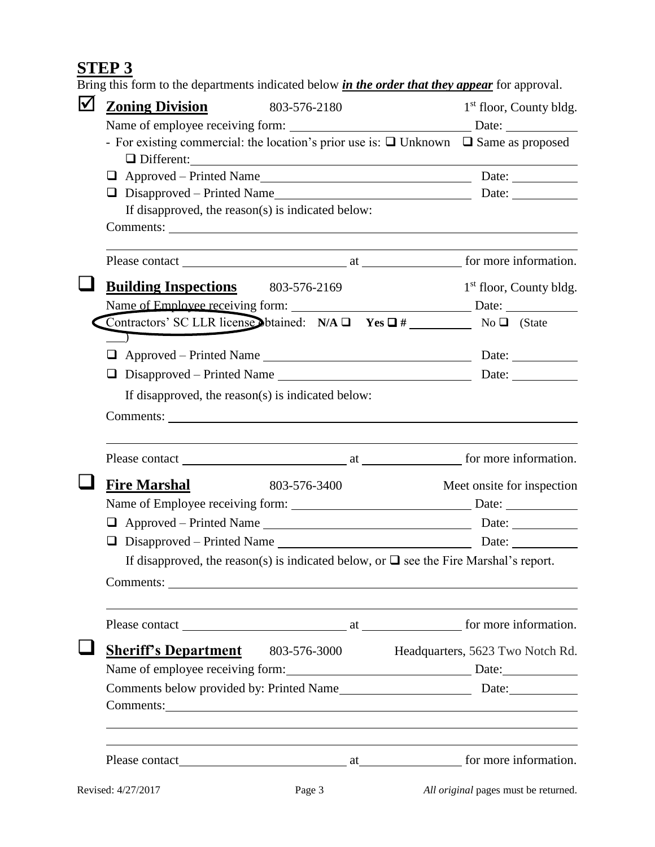## **STEP 3**

Bring this form to the departments indicated below *in the order that they appear* for approval.

| $\blacktriangledown$ | <b>Zoning Division</b><br>803-576-2180                                                                                                                                                                                         |  | $1st$ floor, County bldg.           |  |  |
|----------------------|--------------------------------------------------------------------------------------------------------------------------------------------------------------------------------------------------------------------------------|--|-------------------------------------|--|--|
|                      |                                                                                                                                                                                                                                |  |                                     |  |  |
|                      | - For existing commercial: the location's prior use is: $\Box$ Unknown $\Box$ Same as proposed                                                                                                                                 |  |                                     |  |  |
|                      | Different: 2000 and 2000 and 2000 and 2000 and 2000 and 2000 and 2000 and 2000 and 2000 and 2000 and 2000 and 2000 and 2000 and 2000 and 2000 and 2000 and 2000 and 2000 and 2000 and 2000 and 2000 and 2000 and 2000 and 2000 |  |                                     |  |  |
|                      | u                                                                                                                                                                                                                              |  |                                     |  |  |
|                      | If disapproved, the reason(s) is indicated below:                                                                                                                                                                              |  |                                     |  |  |
|                      |                                                                                                                                                                                                                                |  |                                     |  |  |
|                      |                                                                                                                                                                                                                                |  |                                     |  |  |
|                      |                                                                                                                                                                                                                                |  |                                     |  |  |
|                      | <b>Building Inspections</b> 803-576-2169                                                                                                                                                                                       |  | 1 <sup>st</sup> floor, County bldg. |  |  |
|                      |                                                                                                                                                                                                                                |  |                                     |  |  |
|                      | Contractors' SC LLR license obtained: $N/A \Box$ Yes $\Box$ # No $\Box$ (State                                                                                                                                                 |  |                                     |  |  |
|                      |                                                                                                                                                                                                                                |  |                                     |  |  |
|                      |                                                                                                                                                                                                                                |  |                                     |  |  |
|                      | ❏                                                                                                                                                                                                                              |  |                                     |  |  |
|                      | If disapproved, the reason(s) is indicated below:                                                                                                                                                                              |  |                                     |  |  |
|                      |                                                                                                                                                                                                                                |  |                                     |  |  |
|                      |                                                                                                                                                                                                                                |  |                                     |  |  |
|                      |                                                                                                                                                                                                                                |  |                                     |  |  |
|                      | <b>Fire Marshal</b><br>803-576-3400                                                                                                                                                                                            |  | Meet onsite for inspection          |  |  |
|                      |                                                                                                                                                                                                                                |  |                                     |  |  |
|                      |                                                                                                                                                                                                                                |  |                                     |  |  |
|                      |                                                                                                                                                                                                                                |  |                                     |  |  |
|                      | If disapproved, the reason(s) is indicated below, or $\Box$ see the Fire Marshal's report.                                                                                                                                     |  |                                     |  |  |
|                      |                                                                                                                                                                                                                                |  |                                     |  |  |
|                      |                                                                                                                                                                                                                                |  |                                     |  |  |
|                      |                                                                                                                                                                                                                                |  |                                     |  |  |
|                      | <b>Sheriff's Department</b> 803-576-3000 Headquarters, 5623 Two Notch Rd.                                                                                                                                                      |  |                                     |  |  |
|                      | Name of employee receiving form: Date: Date:                                                                                                                                                                                   |  |                                     |  |  |
|                      |                                                                                                                                                                                                                                |  |                                     |  |  |
|                      |                                                                                                                                                                                                                                |  |                                     |  |  |
|                      |                                                                                                                                                                                                                                |  |                                     |  |  |
|                      |                                                                                                                                                                                                                                |  |                                     |  |  |
|                      |                                                                                                                                                                                                                                |  |                                     |  |  |
|                      |                                                                                                                                                                                                                                |  |                                     |  |  |

Revised: 4/27/2017 Page 3 *All original* pages must be returned.